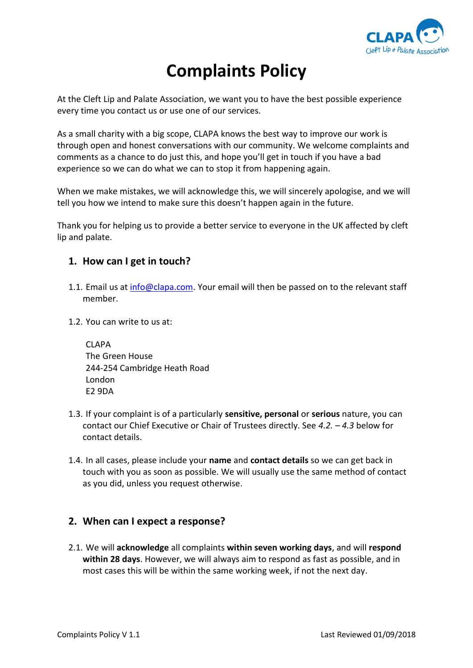

# **Complaints Policy**

At the Cleft Lip and Palate Association, we want you to have the best possible experience every time you contact us or use one of our services.

As a small charity with a big scope, CLAPA knows the best way to improve our work is through open and honest conversations with our community. We welcome complaints and comments as a chance to do just this, and hope you'll get in touch if you have a bad experience so we can do what we can to stop it from happening again.

When we make mistakes, we will acknowledge this, we will sincerely apologise, and we will tell you how we intend to make sure this doesn't happen again in the future.

Thank you for helping us to provide a better service to everyone in the UK affected by cleft lip and palate.

## **1. How can I get in touch?**

- 1.1. Email us at [info@clapa.com.](mailto:info@clapa.com) Your email will then be passed on to the relevant staff member.
- 1.2. You can write to us at:

CLAPA The Green House 244-254 Cambridge Heath Road London E2 9DA

- 1.3. If your complaint is of a particularly **sensitive, personal** or **serious** nature, you can contact our Chief Executive or Chair of Trustees directly. See *4.2. – 4.3* below for contact details.
- 1.4. In all cases, please include your **name** and **contact details** so we can get back in touch with you as soon as possible. We will usually use the same method of contact as you did, unless you request otherwise.

## **2. When can I expect a response?**

2.1. We will **acknowledge** all complaints **within seven working days**, and will **respond within 28 days**. However, we will always aim to respond as fast as possible, and in most cases this will be within the same working week, if not the next day.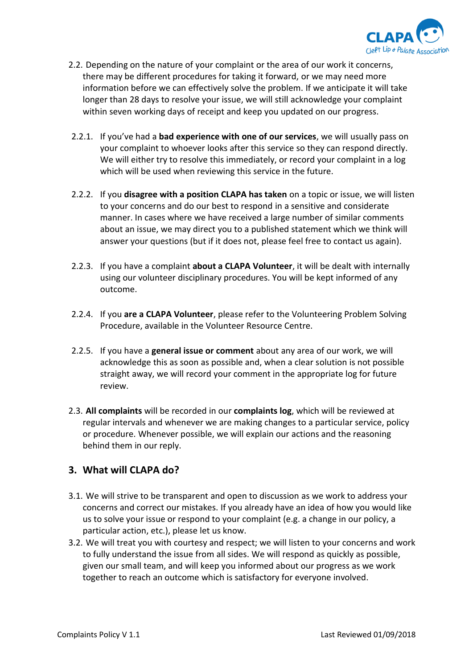

- 2.2. Depending on the nature of your complaint or the area of our work it concerns, there may be different procedures for taking it forward, or we may need more information before we can effectively solve the problem. If we anticipate it will take longer than 28 days to resolve your issue, we will still acknowledge your complaint within seven working days of receipt and keep you updated on our progress.
- 2.2.1. If you've had a **bad experience with one of our services**, we will usually pass on your complaint to whoever looks after this service so they can respond directly. We will either try to resolve this immediately, or record your complaint in a log which will be used when reviewing this service in the future.
- 2.2.2. If you **disagree with a position CLAPA has taken** on a topic or issue, we will listen to your concerns and do our best to respond in a sensitive and considerate manner. In cases where we have received a large number of similar comments about an issue, we may direct you to a published statement which we think will answer your questions (but if it does not, please feel free to contact us again).
- 2.2.3. If you have a complaint **about a CLAPA Volunteer**, it will be dealt with internally using our volunteer disciplinary procedures. You will be kept informed of any outcome.
- 2.2.4. If you **are a CLAPA Volunteer**, please refer to the Volunteering Problem Solving Procedure, available in the Volunteer Resource Centre.
- 2.2.5. If you have a **general issue or comment** about any area of our work, we will acknowledge this as soon as possible and, when a clear solution is not possible straight away, we will record your comment in the appropriate log for future review.
- 2.3. **All complaints** will be recorded in our **complaints log**, which will be reviewed at regular intervals and whenever we are making changes to a particular service, policy or procedure. Whenever possible, we will explain our actions and the reasoning behind them in our reply.

# **3. What will CLAPA do?**

- 3.1. We will strive to be transparent and open to discussion as we work to address your concerns and correct our mistakes. If you already have an idea of how you would like us to solve your issue or respond to your complaint (e.g. a change in our policy, a particular action, etc.), please let us know.
- 3.2. We will treat you with courtesy and respect; we will listen to your concerns and work to fully understand the issue from all sides. We will respond as quickly as possible, given our small team, and will keep you informed about our progress as we work together to reach an outcome which is satisfactory for everyone involved.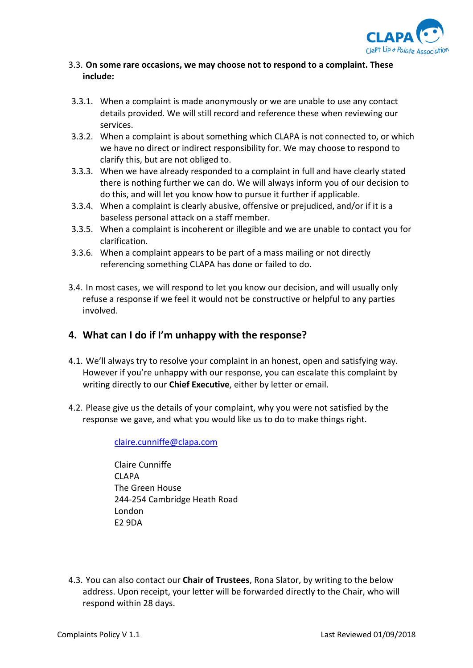

#### 3.3. **On some rare occasions, we may choose not to respond to a complaint. These include:**

- 3.3.1. When a complaint is made anonymously or we are unable to use any contact details provided. We will still record and reference these when reviewing our services.
- 3.3.2. When a complaint is about something which CLAPA is not connected to, or which we have no direct or indirect responsibility for. We may choose to respond to clarify this, but are not obliged to.
- 3.3.3. When we have already responded to a complaint in full and have clearly stated there is nothing further we can do. We will always inform you of our decision to do this, and will let you know how to pursue it further if applicable.
- 3.3.4. When a complaint is clearly abusive, offensive or prejudiced, and/or if it is a baseless personal attack on a staff member.
- 3.3.5. When a complaint is incoherent or illegible and we are unable to contact you for clarification.
- 3.3.6. When a complaint appears to be part of a mass mailing or not directly referencing something CLAPA has done or failed to do.
- 3.4. In most cases, we will respond to let you know our decision, and will usually only refuse a response if we feel it would not be constructive or helpful to any parties involved.

## **4. What can I do if I'm unhappy with the response?**

- 4.1. We'll always try to resolve your complaint in an honest, open and satisfying way. However if you're unhappy with our response, you can escalate this complaint by writing directly to our **Chief Executive**, either by letter or email.
- 4.2. Please give us the details of your complaint, why you were not satisfied by the response we gave, and what you would like us to do to make things right.

#### [claire.cunniffe@clapa.com](mailto:claire.cunniffe@clapa.com)

Claire Cunniffe CLAPA The Green House 244-254 Cambridge Heath Road London E2 9DA

4.3. You can also contact our **Chair of Trustees**, Rona Slator, by writing to the below address. Upon receipt, your letter will be forwarded directly to the Chair, who will respond within 28 days.